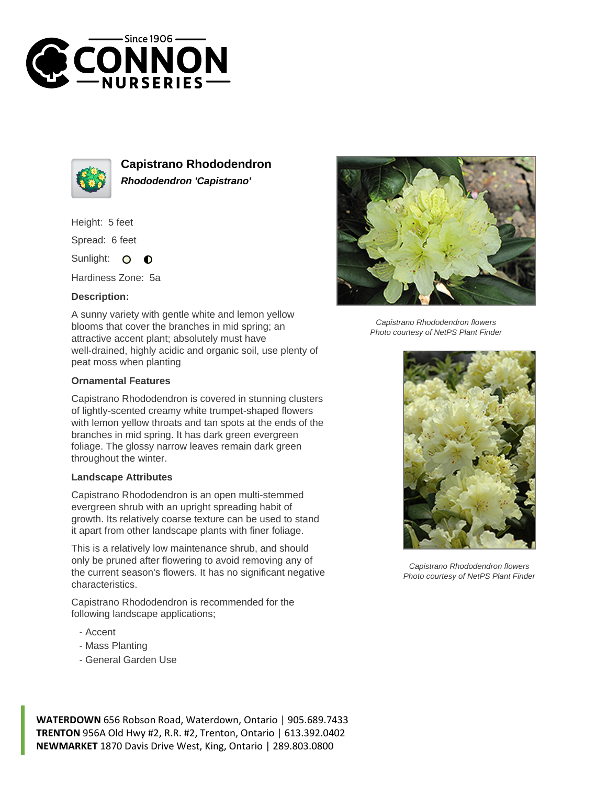



**Capistrano Rhododendron Rhododendron 'Capistrano'**

Height: 5 feet

Spread: 6 feet

Sunlight: O  $\bullet$ 

Hardiness Zone: 5a

## **Description:**

A sunny variety with gentle white and lemon yellow blooms that cover the branches in mid spring; an attractive accent plant; absolutely must have well-drained, highly acidic and organic soil, use plenty of peat moss when planting

## **Ornamental Features**

Capistrano Rhododendron is covered in stunning clusters of lightly-scented creamy white trumpet-shaped flowers with lemon yellow throats and tan spots at the ends of the branches in mid spring. It has dark green evergreen foliage. The glossy narrow leaves remain dark green throughout the winter.

## **Landscape Attributes**

Capistrano Rhododendron is an open multi-stemmed evergreen shrub with an upright spreading habit of growth. Its relatively coarse texture can be used to stand it apart from other landscape plants with finer foliage.

This is a relatively low maintenance shrub, and should only be pruned after flowering to avoid removing any of the current season's flowers. It has no significant negative characteristics.

Capistrano Rhododendron is recommended for the following landscape applications;

- Accent
- Mass Planting
- General Garden Use



Capistrano Rhododendron flowers Photo courtesy of NetPS Plant Finder



Capistrano Rhododendron flowers Photo courtesy of NetPS Plant Finder

**WATERDOWN** 656 Robson Road, Waterdown, Ontario | 905.689.7433 **TRENTON** 956A Old Hwy #2, R.R. #2, Trenton, Ontario | 613.392.0402 **NEWMARKET** 1870 Davis Drive West, King, Ontario | 289.803.0800